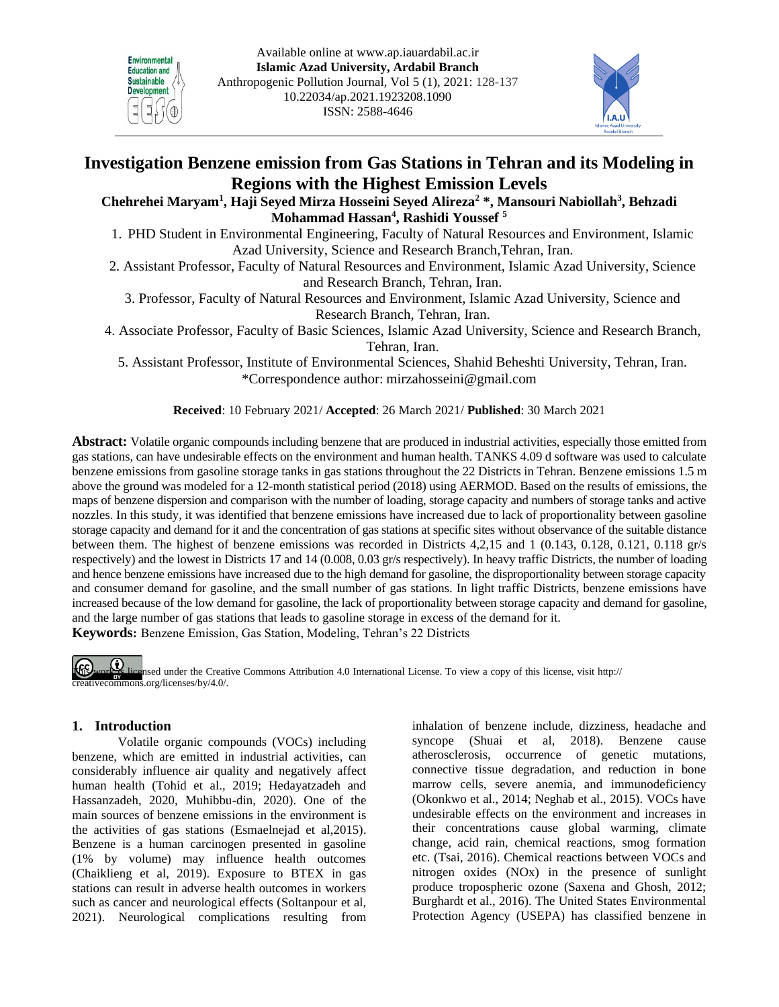



# **Investigation Benzene emission from Gas Stations in Tehran and its Modeling in Regions with the Highest Emission Levels**

**Chehrehei Maryam1 , Haji Seyed Mirza Hosseini Seyed Alireza2 \*, Mansouri Nabiollah3 , Behzadi Mohammad Hassan4 , Rashidi Youssef 5**

- 1. PHD Student in Environmental Engineering, Faculty of Natural Resources and Environment, Islamic Azad University, Science and Research Branch,Tehran, Iran.
- 2. Assistant Professor, Faculty of Natural Resources and Environment, Islamic Azad University, Science and Research Branch, Tehran, Iran.
	- 3. Professor, Faculty of Natural Resources and Environment, Islamic Azad University, Science and Research Branch, Tehran, Iran.

4. Associate Professor, Faculty of Basic Sciences, Islamic Azad University, Science and Research Branch, Tehran, Iran.

5. Assistant Professor, Institute of Environmental Sciences, Shahid Beheshti University, Tehran, Iran. \*Correspondence author: [mirzahosseini@gmail.com](mailto:mirzahosseini@gmail.com)

**Received**: 10 February 2021/ **Accepted**: 26 March 2021/ **Published**: 30 March 2021

**Abstract:** Volatile organic compounds including benzene that are produced in industrial activities, especially those emitted from gas stations, can have undesirable effects on the environment and human health. TANKS 4.09 d software was used to calculate benzene emissions from gasoline storage tanks in gas stations throughout the 22 Districts in Tehran. Benzene emissions 1.5 m above the ground was modeled for a 12-month statistical period (2018) using AERMOD. Based on the results of emissions, the maps of benzene dispersion and comparison with the number of loading, storage capacity and numbers of storage tanks and active nozzles. In this study, it was identified that benzene emissions have increased due to lack of proportionality between gasoline storage capacity and demand for it and the concentration of gas stations at specific sites without observance of the suitable distance between them. The highest of benzene emissions was recorded in Districts 4,2,15 and 1 (0.143, 0.128, 0.121, 0.118 gr/s respectively) and the lowest in Districts 17 and 14 (0.008, 0.03 gr/s respectively). In heavy traffic Districts, the number of loading and hence benzene emissions have increased due to the high demand for gasoline, the disproportionality between storage capacity and consumer demand for gasoline, and the small number of gas stations. In light traffic Districts, benzene emissions have increased because of the low demand for gasoline, the lack of proportionality between storage capacity and demand for gasoline, and the large number of gas stations that leads to gasoline storage in excess of the demand for it. **Keywords:** Benzene Emission, Gas Station, Modeling, Tehran's 22 Districts

The work is licensed under the Creative Commons Attribution 4.0 International License. To view a copy of this license, visit http:// creativecommons.org/licenses/by/4.0/.

# **1. Introduction**

Volatile organic compounds (VOCs) including benzene, which are emitted in industrial activities, can considerably influence air quality and negatively affect human health (Tohid et al., 2019; Hedayatzadeh and Hassanzadeh, 2020, Muhibbu-din, 2020). One of the main sources of benzene emissions in the environment is the activities of gas stations (Esmaelnejad et al,2015). Benzene is a human carcinogen presented in gasoline (1% by volume) may influence health outcomes [\(Chaiklieng](https://www.researchgate.net/profile/Sunisa-Chaiklieng) et al, 2019). Exposure to BTEX in gas stations can result in adverse health outcomes in workers such as cancer and neurological effects [\(Soltanpour](https://journals.sagepub.com/doi/abs/10.1177/0748233720981218) et al, 2021). Neurological complications resulting from inhalation of benzene include, dizziness, headache and syncope (Shuai et al, 2018). Benzene cause atherosclerosis, occurrence of genetic mutations, connective tissue degradation, and reduction in bone marrow cells, severe anemia, and immunodeficiency (Okonkwo et al., 2014; Neghab et al., 2015). VOCs have undesirable effects on the environment and increases in their concentrations cause global warming, climate change, acid rain, chemical reactions, smog formation etc. (Tsai, 2016). Chemical reactions between VOCs and nitrogen oxides (NOx) in the presence of sunlight produce tropospheric ozone (Saxena and Ghosh, 2012; Burghardt et al., 2016). The United States Environmental Protection Agency (USEPA) has classified benzene in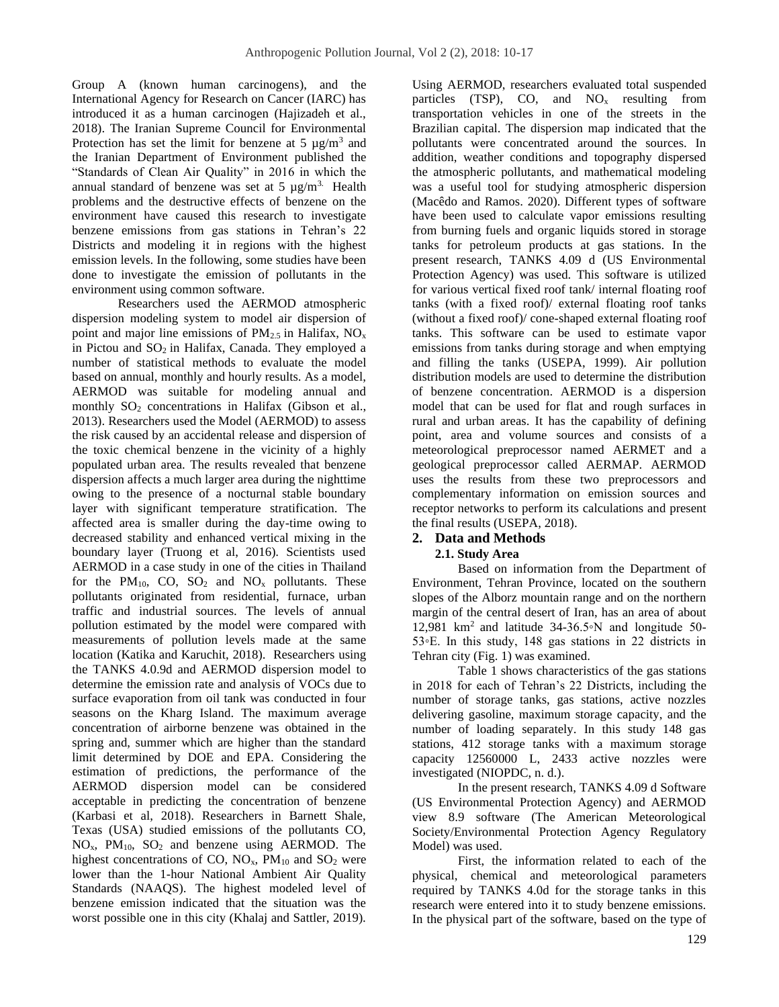Group A (known human carcinogens), and the International Agency for Research on Cancer (IARC) has introduced it as a human carcinogen (Hajizadeh et al., 2018). The Iranian Supreme Council for Environmental Protection has set the limit for benzene at 5  $\mu$ g/m<sup>3</sup> and the Iranian Department of Environment published the "Standards of Clean Air Quality" in 2016 in which the annual standard of benzene was set at 5  $\mu$ g/m<sup>3.</sup> Health problems and the destructive effects of benzene on the environment have caused this research to investigate benzene emissions from gas stations in Tehran's 22 Districts and modeling it in regions with the highest emission levels. In the following, some studies have been done to investigate the emission of pollutants in the environment using common software.

Researchers used the AERMOD atmospheric dispersion modeling system to model air dispersion of point and major line emissions of  $PM_{2.5}$  in Halifax,  $NO_x$ in Pictou and  $SO<sub>2</sub>$  in Halifax, Canada. They employed a number of statistical methods to evaluate the model based on annual, monthly and hourly results. As a model, AERMOD was suitable for modeling annual and monthly  $SO_2$  concentrations in Halifax (Gibson et al., 2013). Researchers used the Model (AERMOD) to assess the risk caused by an accidental release and dispersion of the toxic chemical benzene in the vicinity of a highly populated urban area. The results revealed that benzene dispersion affects a much larger area during the nighttime owing to the presence of a nocturnal stable boundary layer with significant temperature stratification. The affected area is smaller during the day-time owing to decreased stability and enhanced vertical mixing in the boundary layer (Truong et al, 2016). Scientists used AERMOD in a case study in one of the cities in Thailand for the PM<sub>10</sub>, CO, SO<sub>2</sub> and NO<sub>x</sub> pollutants. These pollutants originated from residential, furnace, urban traffic and industrial sources. The levels of annual pollution estimated by the model were compared with measurements of pollution levels made at the same location (Katika and Karuchit, 2018). Researchers using the TANKS 4.0.9d and AERMOD dispersion model to determine the emission rate and analysis of VOCs due to surface evaporation from oil tank was conducted in four seasons on the Kharg Island. The maximum average concentration of airborne benzene was obtained in the spring and, summer which are higher than the standard limit determined by DOE and EPA. Considering the estimation of predictions, the performance of the AERMOD dispersion model can be considered acceptable in predicting the concentration of benzene (Karbasi et al, 2018). Researchers in Barnett Shale, Texas (USA) studied emissions of the pollutants CO,  $NO<sub>x</sub>$ ,  $PM<sub>10</sub>$ ,  $SO<sub>2</sub>$  and benzene using AERMOD. The highest concentrations of CO,  $NO<sub>x</sub>$ ,  $PM<sub>10</sub>$  and  $SO<sub>2</sub>$  were lower than the 1-hour National Ambient Air Quality Standards (NAAQS). The highest modeled level of benzene emission indicated that the situation was the worst possible one in this city (Khalaj and Sattler, 2019).

Using AERMOD, researchers evaluated total suspended particles (TSP), CO, and  $NO<sub>x</sub>$  resulting from transportation vehicles in one of the streets in the Brazilian capital. The dispersion map indicated that the pollutants were concentrated around the sources. In addition, weather conditions and topography dispersed the atmospheric pollutants, and mathematical modeling was a useful tool for studying atmospheric dispersion (Macêdo and Ramos. 2020). Different types of software have been used to calculate vapor emissions resulting from burning fuels and organic liquids stored in storage tanks for petroleum products at gas stations. In the present research, TANKS 4.09 d (US Environmental Protection Agency) was used. This software is utilized for various vertical fixed roof tank/ internal floating roof tanks (with a fixed roof)/ external floating roof tanks (without a fixed roof)/ cone-shaped external floating roof tanks. This software can be used to estimate vapor emissions from tanks during storage and when emptying and filling the tanks (USEPA, 1999). Air pollution distribution models are used to determine the distribution of benzene concentration. AERMOD is a dispersion model that can be used for flat and rough surfaces in rural and urban areas. It has the capability of defining point, area and volume sources and consists of a meteorological preprocessor named AERMET and a geological preprocessor called AERMAP. AERMOD uses the results from these two preprocessors and complementary information on emission sources and receptor networks to perform its calculations and present the final results (USEPA, 2018).

## **2. Data and Methods**

## **2.1. Study Area**

Based on information from the Department of Environment, Tehran Province, located on the southern slopes of the Alborz mountain range and on the northern margin of the central desert of Iran, has an area of about 12,981 km<sup>2</sup> and latitude 34-36.5∘N and longitude 50-53◦E. In this study, 148 gas stations in 22 districts in Tehran city (Fig. 1) was examined.

Table 1 shows characteristics of the gas stations in 2018 for each of Tehran's 22 Districts, including the number of storage tanks, gas stations, active nozzles delivering gasoline, maximum storage capacity, and the number of loading separately. In this study 148 gas stations, 412 storage tanks with a maximum storage capacity  $12560000$  L,  $2433$  active nozzles were investigated (NIOPDC, n. d.).

In the present research, TANKS 4.09 d Software (US Environmental Protection Agency) and AERMOD view 8.9 software (The American Meteorological Society/Environmental Protection Agency Regulatory Model) was used.

First, the information related to each of the physical, chemical and meteorological parameters required by TANKS 4.0d for the storage tanks in this research were entered into it to study benzene emissions. In the physical part of the software, based on the type of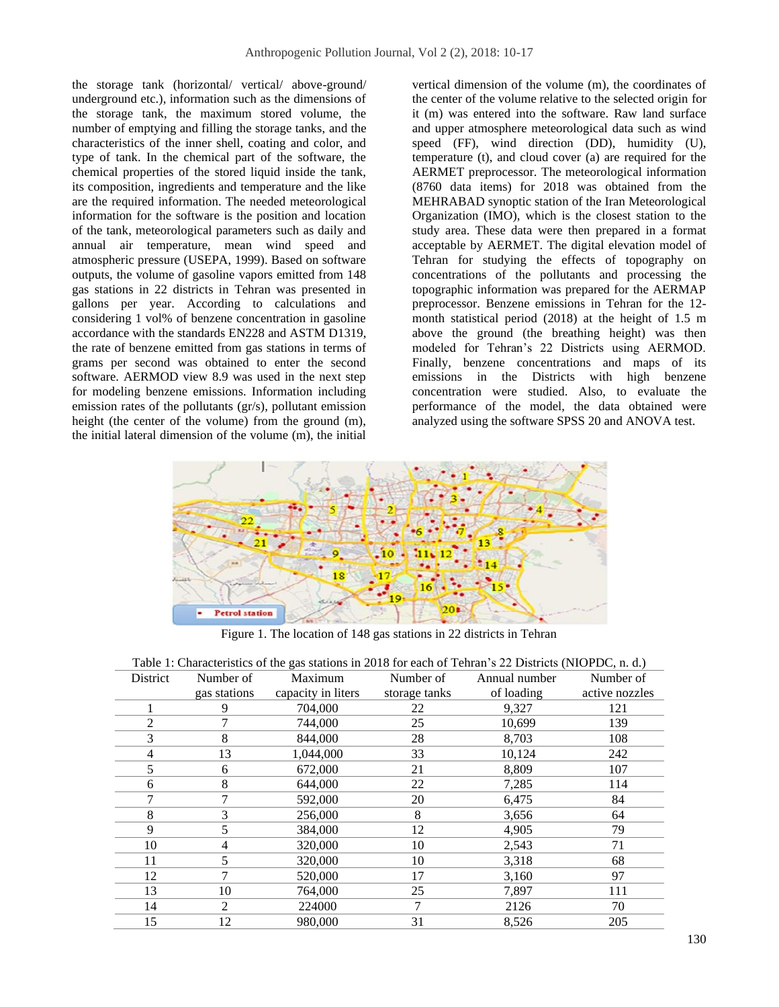the storage tank (horizontal/ vertical/ above-ground/ underground etc.), information such as the dimensions of the storage tank, the maximum stored volume, the number of emptying and filling the storage tanks, and the characteristics of the inner shell, coating and color, and type of tank. In the chemical part of the software, the chemical properties of the stored liquid inside the tank, its composition, ingredients and temperature and the like are the required information. The needed meteorological information for the software is the position and location of the tank, meteorological parameters such as daily and annual air temperature, mean wind speed and atmospheric pressure (USEPA, 1999). Based on software outputs, the volume of gasoline vapors emitted from 148 gas stations in 22 districts in Tehran was presented in gallons per year. According to calculations and considering 1 vol% of benzene concentration in gasoline accordance with the standards EN228 and ASTM D1319, the rate of benzene emitted from gas stations in terms of grams per second was obtained to enter the second software. AERMOD view 8.9 was used in the next step for modeling benzene emissions. Information including emission rates of the pollutants (gr/s), pollutant emission height (the center of the volume) from the ground (m), the initial lateral dimension of the volume (m), the initial

vertical dimension of the volume (m), the coordinates of the center of the volume relative to the selected origin for it (m) was entered into the software. Raw land surface and upper atmosphere meteorological data such as wind speed (FF), wind direction (DD), humidity (U), temperature (t), and cloud cover (a) are required for the AERMET preprocessor. The meteorological information (8760 data items) for 2018 was obtained from the MEHRABAD synoptic station of the Iran Meteorological Organization (IMO), which is the closest station to the study area. These data were then prepared in a format acceptable by AERMET. The digital elevation model of Tehran for studying the effects of topography on concentrations of the pollutants and processing the topographic information was prepared for the AERMAP preprocessor. Benzene emissions in Tehran for the 12 month statistical period (2018) at the height of 1.5 m above the ground (the breathing height) was then modeled for Tehran's 22 Districts using AERMOD. Finally, benzene concentrations and maps of its emissions in the Districts with high benzene concentration were studied. Also, to evaluate the performance of the model, the data obtained were analyzed using the software SPSS 20 and ANOVA test.



Figure 1. The location of 148 gas stations in 22 districts in Tehran

| Table 1: Characteristics of the gas stations in 2018 for each of Tehran's 22 Districts (NIOPDC, n. d.) |                |                    |               |               |                |  |  |  |
|--------------------------------------------------------------------------------------------------------|----------------|--------------------|---------------|---------------|----------------|--|--|--|
| District                                                                                               | Number of      | Maximum            | Number of     | Annual number | Number of      |  |  |  |
|                                                                                                        | gas stations   | capacity in liters | storage tanks | of loading    | active nozzles |  |  |  |
|                                                                                                        | 9              | 704,000            | 22            | 9,327         | 121            |  |  |  |
| $\overline{2}$                                                                                         |                | 744,000            | 25            | 10,699        | 139            |  |  |  |
| 3                                                                                                      | 8              | 844,000            | 28            | 8,703         | 108            |  |  |  |
| 4                                                                                                      | 13             | 1,044,000          | 33            | 10,124        | 242            |  |  |  |
| 5                                                                                                      | 6              | 672,000            | 21            | 8,809         | 107            |  |  |  |
| 6                                                                                                      | 8              | 644,000            | 22            | 7,285         | 114            |  |  |  |
|                                                                                                        |                | 592,000            | 20            | 6,475         | 84             |  |  |  |
| 8                                                                                                      | 3              | 256,000            | 8             | 3,656         | 64             |  |  |  |
| 9                                                                                                      |                | 384,000            | 12            | 4,905         | 79             |  |  |  |
| 10                                                                                                     | 4              | 320,000            | 10            | 2,543         | 71             |  |  |  |
| 11                                                                                                     | 5              | 320,000            | 10            | 3,318         | 68             |  |  |  |
| 12                                                                                                     | 7              | 520,000            | 17            | 3,160         | 97             |  |  |  |
| 13                                                                                                     | 10             | 764.000            | 25            | 7,897         | 111            |  |  |  |
| 14                                                                                                     | $\mathfrak{D}$ | 224000             | 7             | 2126          | 70             |  |  |  |
| 15                                                                                                     | 12             | 980,000            | 31            | 8,526         | 205            |  |  |  |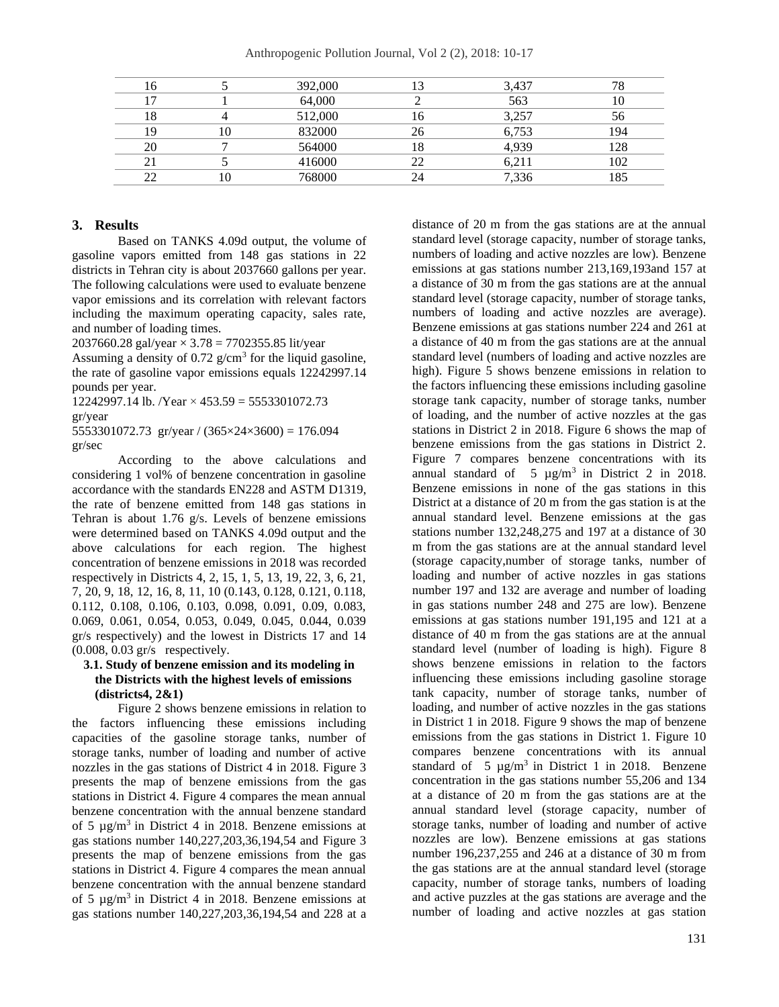|    | 392,000 | 3,437 | 78  |
|----|---------|-------|-----|
|    | 64,000  | 563   |     |
| ۱8 | 512,000 | 3,257 | 56  |
| ۱۵ | 832000  | 6,753 | 194 |
| 20 | 564000  | 4.939 | 128 |
|    | 416000  |       | 102 |
| ∠∠ | 768000  | 336.' | 185 |

#### **3. Results**

Based on TANKS 4.09d output, the volume of gasoline vapors emitted from 148 gas stations in 22 districts in Tehran city is about 2037660 gallons per year. The following calculations were used to evaluate benzene vapor emissions and its correlation with relevant factors including the maximum operating capacity, sales rate, and number of loading times.

2037660.28 gal/year  $\times$  3.78 = 7702355.85 lit/year

Assuming a density of  $0.72$  g/cm<sup>3</sup> for the liquid gasoline, the rate of gasoline vapor emissions equals 12242997.14 pounds per year.

12242997.14 lb. /Year  $\times$  453.59 = 5553301072.73 gr/year

5553301072.73 gr/year /  $(365 \times 24 \times 3600) = 176.094$ gr/sec

According to the above calculations and considering 1 vol% of benzene concentration in gasoline accordance with the standards EN228 and ASTM D1319, the rate of benzene emitted from 148 gas stations in Tehran is about 1.76 g/s. Levels of benzene emissions were determined based on TANKS 4.09d output and the above calculations for each region. The highest concentration of benzene emissions in 2018 was recorded respectively in Districts 4, 2, 15, 1, 5, 13, 19, 22, 3, 6, 21, 7, 20, 9, 18, 12, 16, 8, 11, 10 (0.143, 0.128, 0.121, 0.118, 0.112, 0.108, 0.106, 0.103, 0.098, 0.091, 0.09, 0.083, 0.069, 0.061, 0.054, 0.053, 0.049, 0.045, 0.044, 0.039 gr/s respectively) and the lowest in Districts 17 and 14 (0.008, 0.03 gr/s respectively.

#### **3.1. Study of benzene emission and its modeling in the Districts with the highest levels of emissions (districts4, 2&1)**

Figure 2 shows benzene emissions in relation to the factors influencing these emissions including capacities of the gasoline storage tanks, number of storage tanks, number of loading and number of active nozzles in the gas stations of District 4 in 2018. Figure 3 presents the map of benzene emissions from the gas stations in District 4. Figure 4 compares the mean annual benzene concentration with the annual benzene standard of 5  $\mu$ g/m<sup>3</sup> in District 4 in 2018. Benzene emissions at gas stations number 140,227,203,36,194,54 and Figure 3 presents the map of benzene emissions from the gas stations in District 4. Figure 4 compares the mean annual benzene concentration with the annual benzene standard of 5  $\mu$ g/m<sup>3</sup> in District 4 in 2018. Benzene emissions at gas stations number 140,227,203,36,194,54 and 228 at a distance of 20 m from the gas stations are at the annual standard level (storage capacity, number of storage tanks, numbers of loading and active nozzles are low). Benzene emissions at gas stations number 213,169,193and 157 at a distance of 30 m from the gas stations are at the annual standard level (storage capacity, number of storage tanks, numbers of loading and active nozzles are average). Benzene emissions at gas stations number 224 and 261 at a distance of 40 m from the gas stations are at the annual standard level (numbers of loading and active nozzles are high). Figure 5 shows benzene emissions in relation to the factors influencing these emissions including gasoline storage tank capacity, number of storage tanks, number of loading, and the number of active nozzles at the gas stations in District 2 in 2018. Figure 6 shows the map of benzene emissions from the gas stations in District 2. Figure 7 compares benzene concentrations with its annual standard of  $5 \mu g/m^3$  in District 2 in 2018. Benzene emissions in none of the gas stations in this District at a distance of 20 m from the gas station is at the annual standard level. Benzene emissions at the gas stations number 132,248,275 and 197 at a distance of 30 m from the gas stations are at the annual standard level (storage capacity,number of storage tanks, number of loading and number of active nozzles in gas stations number 197 and 132 are average and number of loading in gas stations number 248 and 275 are low). Benzene emissions at gas stations number 191,195 and 121 at a distance of 40 m from the gas stations are at the annual standard level (number of loading is high). Figure 8 shows benzene emissions in relation to the factors influencing these emissions including gasoline storage tank capacity, number of storage tanks, number of loading, and number of active nozzles in the gas stations in District 1 in 2018. Figure 9 shows the map of benzene emissions from the gas stations in District 1. Figure 10 compares benzene concentrations with its annual standard of 5  $\mu$ g/m<sup>3</sup> in District 1 in 2018. Benzene concentration in the gas stations number 55,206 and 134 at a distance of 20 m from the gas stations are at the annual standard level (storage capacity, number of storage tanks, number of loading and number of active nozzles are low). Benzene emissions at gas stations number 196,237,255 and 246 at a distance of 30 m from the gas stations are at the annual standard level (storage capacity, number of storage tanks, numbers of loading and active puzzles at the gas stations are average and the number of loading and active nozzles at gas station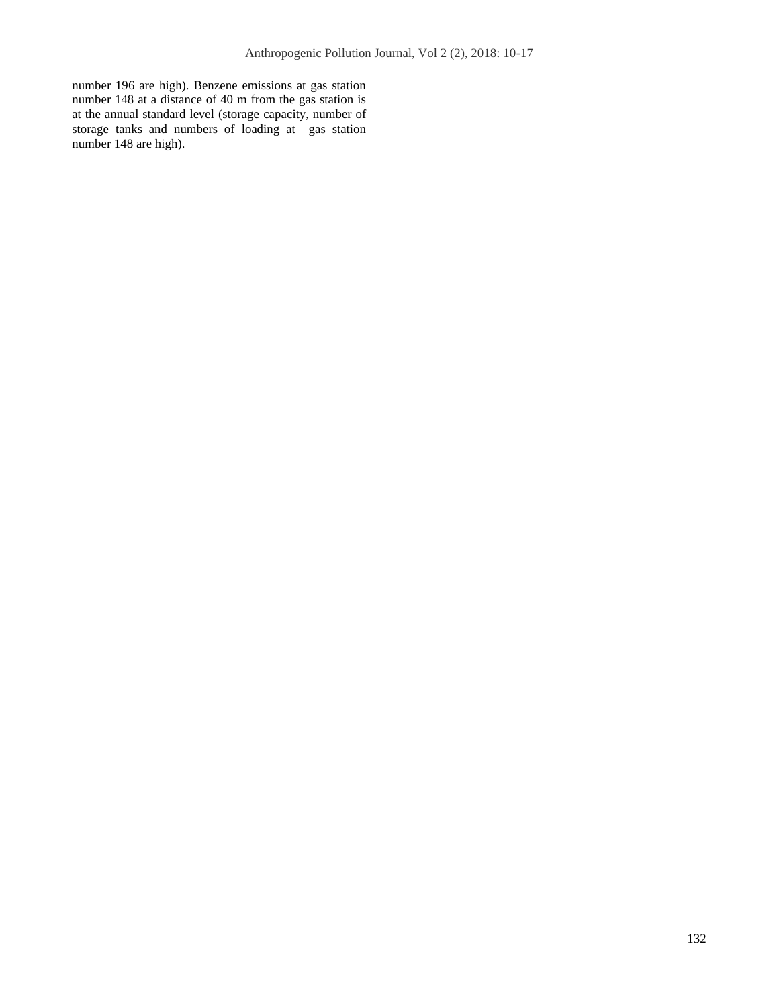number 196 are high). Benzene emissions at gas station number 148 at a distance of 40 m from the gas station is at the annual standard level (storage capacity, number of storage tanks and numbers of loading at gas station number 148 are high).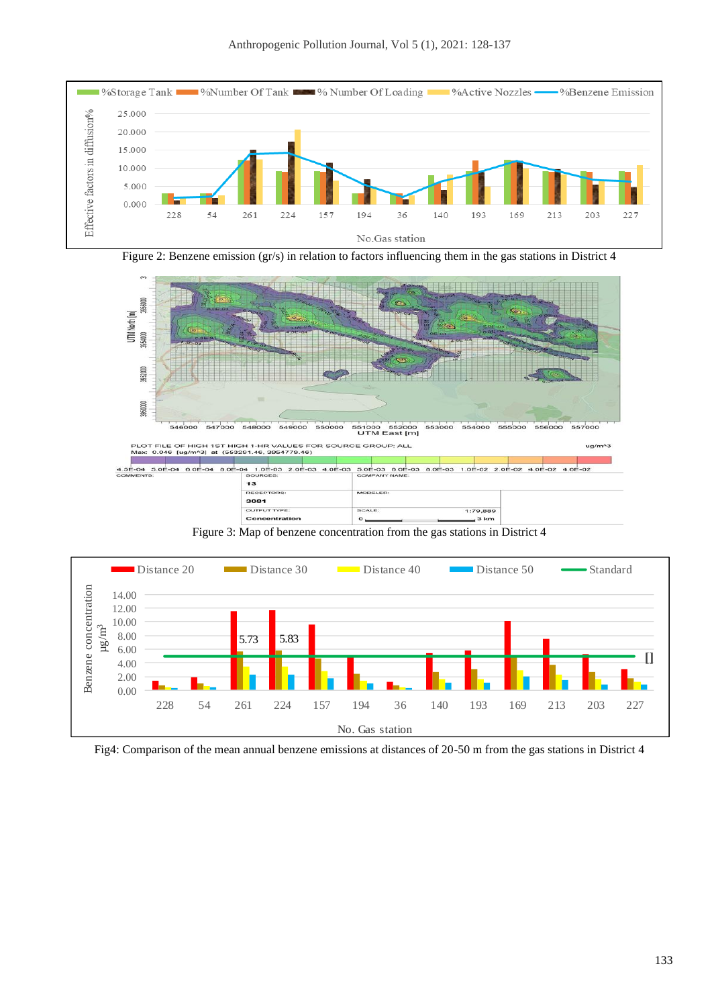





Figure 3: Map of benzene concentration from the gas stations in District 4



Fig4: Comparison of the mean annual benzene emissions at distances of 20-50 m from the gas stations in District 4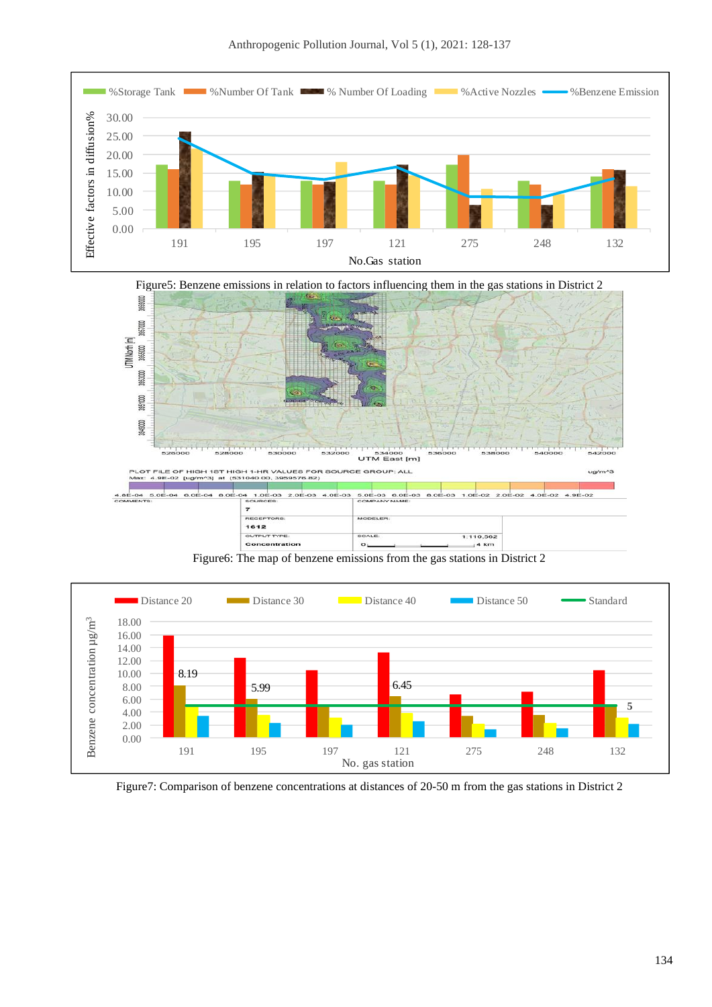



Figure6: The map of benzene emissions from the gas stations in District 2



Figure7: Comparison of benzene concentrations at distances of 20-50 m from the gas stations in District 2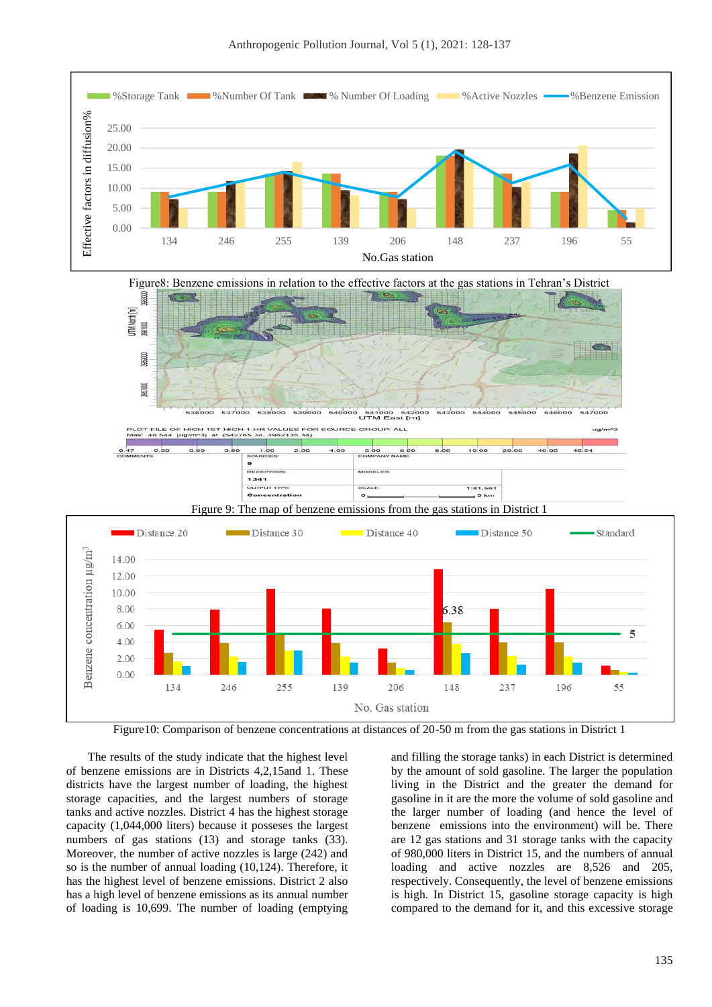



Figure10: Comparison of benzene concentrations at distances of 20-50 m from the gas stations in District 1

The results of the study indicate that the highest level of benzene emissions are in Districts 4,2,15and 1. These districts have the largest number of loading, the highest storage capacities, and the largest numbers of storage tanks and active nozzles. District 4 has the highest storage capacity (1,044,000 liters) because it posseses the largest numbers of gas stations (13) and storage tanks (33). Moreover, the number of active nozzles is large (242) and so is the number of annual loading (10,124). Therefore, it has the highest level of benzene emissions. District 2 also has a high level of benzene emissions as its annual number of loading is 10,699. The number of loading (emptying

and filling the storage tanks) in each District is determined by the amount of sold gasoline. The larger the population living in the District and the greater the demand for gasoline in it are the more the volume of sold gasoline and the larger number of loading (and hence the level of benzene emissions into the environment) will be. There are 12 gas stations and 31 storage tanks with the capacity of 980,000 liters in District 15, and the numbers of annual loading and active nozzles are 8,526 and 205, respectively. Consequently, the level of benzene emissions is high. In District 15, gasoline storage capacity is high compared to the demand for it, and this excessive storage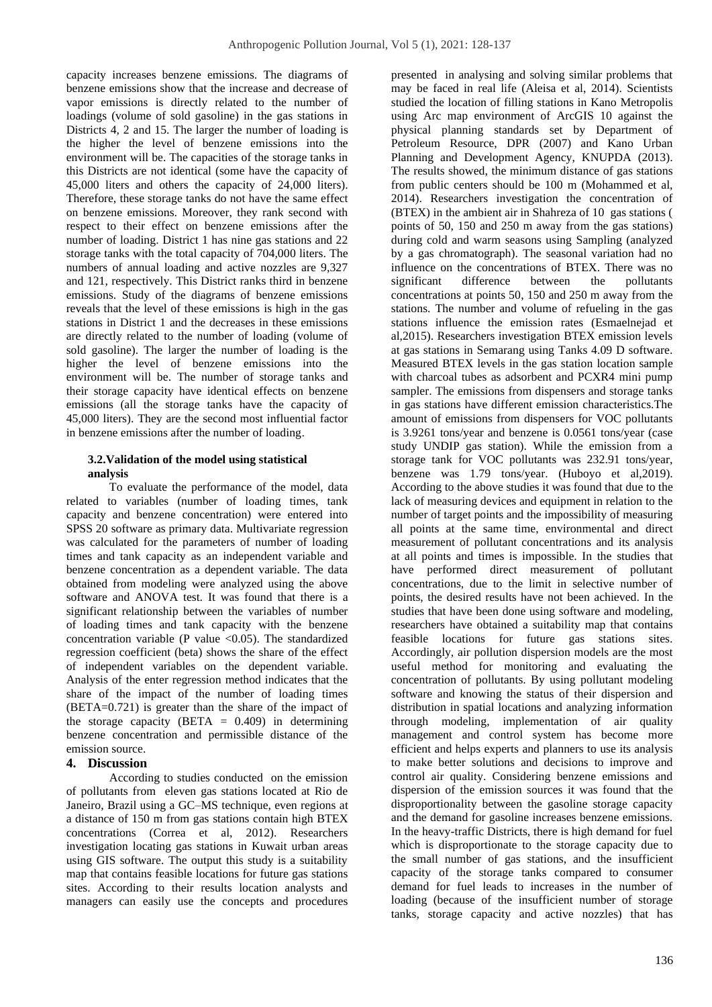capacity increases benzene emissions. The diagrams of benzene emissions show that the increase and decrease of vapor emissions is directly related to the number of loadings (volume of sold gasoline) in the gas stations in Districts 4, 2 and 15. The larger the number of loading is the higher the level of benzene emissions into the environment will be. The capacities of the storage tanks in this Districts are not identical (some have the capacity of 45,000 liters and others the capacity of 24,000 liters). Therefore, these storage tanks do not have the same effect on benzene emissions. Moreover, they rank second with respect to their effect on benzene emissions after the number of loading. District 1 has nine gas stations and 22 storage tanks with the total capacity of 704,000 liters. The numbers of annual loading and active nozzles are 9,327 and 121, respectively. This District ranks third in benzene emissions. Study of the diagrams of benzene emissions reveals that the level of these emissions is high in the gas stations in District 1 and the decreases in these emissions are directly related to the number of loading (volume of sold gasoline). The larger the number of loading is the higher the level of benzene emissions into the environment will be. The number of storage tanks and their storage capacity have identical effects on benzene emissions (all the storage tanks have the capacity of 45,000 liters). They are the second most influential factor in benzene emissions after the number of loading.

# **3.2.Validation of the model using statistical analysis**

To evaluate the performance of the model, data related to variables (number of loading times, tank capacity and benzene concentration) were entered into SPSS 20 software as primary data. Multivariate regression was calculated for the parameters of number of loading times and tank capacity as an independent variable and benzene concentration as a dependent variable. The data obtained from modeling were analyzed using the above software and ANOVA test. It was found that there is a significant relationship between the variables of number of loading times and tank capacity with the benzene concentration variable (P value  $\langle 0.05 \rangle$ ). The standardized regression coefficient (beta) shows the share of the effect of independent variables on the dependent variable. Analysis of the enter regression method indicates that the share of the impact of the number of loading times (BETA=0.721) is greater than the share of the impact of the storage capacity (BETA  $= 0.409$ ) in determining benzene concentration and permissible distance of the emission source.

# **4. Discussion**

According to studies conducted on the emission of pollutants from eleven gas stations located at Rio de Janeiro, Brazil using a GC–MS technique, even regions at a distance of 150 m from gas stations contain high BTEX concentrations (Correa et al, 2012). Researchers investigation locating gas stations in Kuwait urban areas using GIS software. The output this study is a suitability map that contains feasible locations for future gas stations sites. According to their results location analysts and managers can easily use the concepts and procedures

presented in analysing and solving similar problems that may be faced in real life (Aleisa et al, 2014). Scientists studied the location of filling stations in Kano Metropolis using Arc map environment of ArcGIS 10 against the physical planning standards set by Department of Petroleum Resource, DPR (2007) and Kano Urban Planning and Development Agency, KNUPDA (2013). The results showed, the minimum distance of gas stations from public centers should be 100 m (Mohammed et al, 2014). Researchers investigation the concentration of (BTEX) in the ambient air in Shahreza of 10 gas stations ( points of 50, 150 and 250 m away from the gas stations) during cold and warm seasons using Sampling (analyzed by a gas chromatograph). The seasonal variation had no influence on the concentrations of BTEX. There was no significant difference between the pollutants concentrations at points 50, 150 and 250 m away from the stations. The number and volume of refueling in the gas stations influence the emission rates (Esmaelnejad et al,2015). Researchers investigation BTEX emission levels at gas stations in Semarang using Tanks 4.09 D software. Measured BTEX levels in the gas station location sample with charcoal tubes as adsorbent and PCXR4 mini pump sampler. The emissions from dispensers and storage tanks in gas stations have different emission characteristics.The amount of emissions from dispensers for VOC pollutants is 3.9261 tons/year and benzene is 0.0561 tons/year (case study UNDIP gas station). While the emission from a storage tank for VOC pollutants was 232.91 tons/year, benzene was 1.79 tons/year. (Huboyo et al,2019). According to the above studies it was found that due to the lack of measuring devices and equipment in relation to the number of target points and the impossibility of measuring all points at the same time, environmental and direct measurement of pollutant concentrations and its analysis at all points and times is impossible. In the studies that have performed direct measurement of pollutant concentrations, due to the limit in selective number of points, the desired results have not been achieved. In the studies that have been done using software and modeling, researchers have obtained a suitability map that contains feasible locations for future gas stations sites. Accordingly, air pollution dispersion models are the most useful method for monitoring and evaluating the concentration of pollutants. By using pollutant modeling software and knowing the status of their dispersion and distribution in spatial locations and analyzing information through modeling, implementation of air quality management and control system has become more efficient and helps experts and planners to use its analysis to make better solutions and decisions to improve and control air quality. Considering benzene emissions and dispersion of the emission sources it was found that the disproportionality between the gasoline storage capacity and the demand for gasoline increases benzene emissions. In the heavy-traffic Districts, there is high demand for fuel which is disproportionate to the storage capacity due to the small number of gas stations, and the insufficient capacity of the storage tanks compared to consumer demand for fuel leads to increases in the number of loading (because of the insufficient number of storage tanks, storage capacity and active nozzles) that has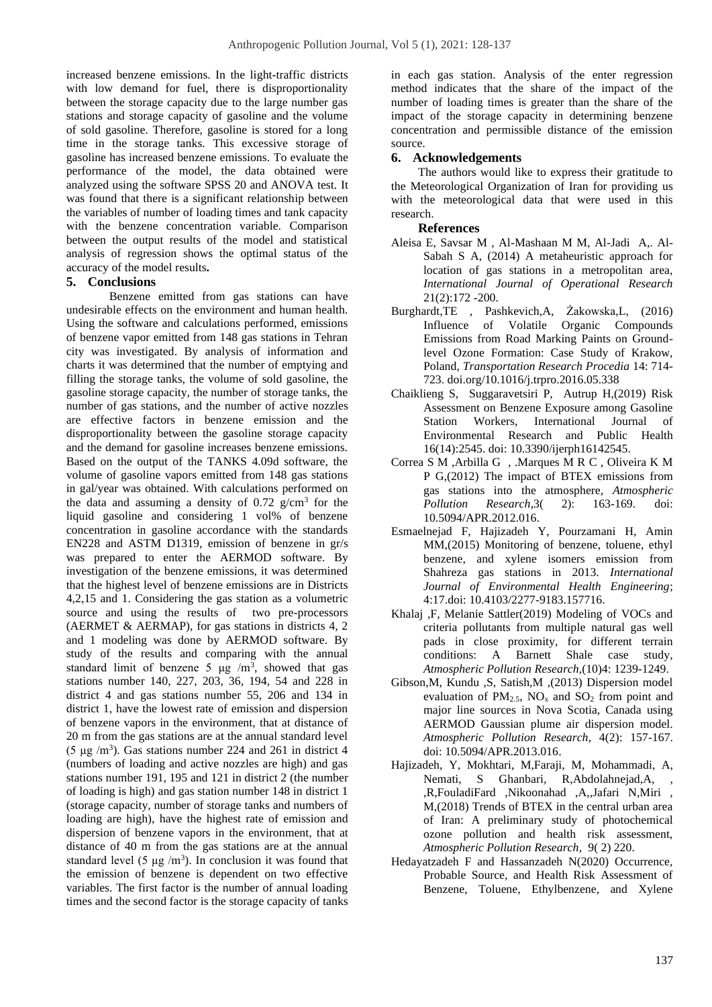increased benzene emissions. In the light-traffic districts with low demand for fuel, there is disproportionality between the storage capacity due to the large number gas stations and storage capacity of gasoline and the volume of sold gasoline. Therefore, gasoline is stored for a long time in the storage tanks. This excessive storage of gasoline has increased benzene emissions. To evaluate the performance of the model, the data obtained were analyzed using the software SPSS 20 and ANOVA test. It was found that there is a significant relationship between the variables of number of loading times and tank capacity with the benzene concentration variable. Comparison between the output results of the model and statistical analysis of regression shows the optimal status of the accuracy of the model results**.**

## **5. Conclusions**

Benzene emitted from gas stations can have undesirable effects on the environment and human health. Using the software and calculations performed, emissions of benzene vapor emitted from 148 gas stations in Tehran city was investigated. By analysis of information and charts it was determined that the number of emptying and filling the storage tanks, the volume of sold gasoline, the gasoline storage capacity, the number of storage tanks, the number of gas stations, and the number of active nozzles are effective factors in benzene emission and the disproportionality between the gasoline storage capacity and the demand for gasoline increases benzene emissions. Based on the output of the TANKS 4.09d software, the volume of gasoline vapors emitted from 148 gas stations in gal/year was obtained. With calculations performed on the data and assuming a density of  $0.72$  g/cm<sup>3</sup> for the liquid gasoline and considering 1 vol<sup>%</sup> of benzene concentration in gasoline accordance with the standards EN228 and ASTM D1319, emission of benzene in gr/s was prepared to enter the AERMOD software. By investigation of the benzene emissions, it was determined that the highest level of benzene emissions are in Districts 4,2,15 and 1. Considering the gas station as a volumetric source and using the results of two pre-processors (AERMET & AERMAP), for gas stations in districts 4, 2 and 1 modeling was done by AERMOD software. By study of the results and comparing with the annual standard limit of benzene 5  $\mu$ g /m<sup>3</sup>, showed that gas stations number 140, 227, 203, 36, 194, 54 and 228 in district 4 and gas stations number 55, 206 and 134 in district 1, have the lowest rate of emission and dispersion of benzene vapors in the environment, that at distance of 20 m from the gas stations are at the annual standard level (5  $\mu$ g /m<sup>3</sup>). Gas stations number 224 and 261 in district 4 (numbers of loading and active nozzles are high) and gas stations number 191, 195 and 121 in district 2 (the number of loading is high) and gas station number 148 in district 1 (storage capacity, number of storage tanks and numbers of loading are high), have the highest rate of emission and dispersion of benzene vapors in the environment, that at distance of 40 m from the gas stations are at the annual standard level  $(5 \mu g/m^3)$ . In conclusion it was found that the emission of benzene is dependent on two effective variables. The first factor is the number of annual loading times and the second factor is the storage capacity of tanks

in each gas station. Analysis of the enter regression method indicates that the share of the impact of the number of loading times is greater than the share of the impact of the storage capacity in determining benzene concentration and permissible distance of the emission source.

## **6. Acknowledgements**

The authors would like to express their gratitude to the Meteorological Organization of Iran for providing us with the meteorological data that were used in this research.

#### **References**

- Aleisa E, Savsar M , Al-Mashaan M M, Al-Jadi A,. Al-Sabah S A, (2014) A metaheuristic approach for location of gas stations in a metropolitan area, *[International Journal of Operational Research](https://www.researchgate.net/journal/International-Journal-of-Operational-Research-1745-7653)* 21(2):172 -200.
- [Burghardt,](https://www.sciencedirect.com/science/article/pii/S2352146516303441#%21)TE , [Pashkevich,](https://www.sciencedirect.com/science/article/pii/S2352146516303441#%21)A, [Żakowska,](https://www.sciencedirect.com/science/article/pii/S2352146516303441#%21)L, (2016) Influence of Volatile Organic Compounds Emissions from Road Marking Paints on Groundlevel Ozone Formation: Case Study of Krakow, Poland, *[Transportation Research Procedia](https://www.sciencedirect.com/science/journal/23521465)* [14:](https://www.sciencedirect.com/science/journal/23521465/14/supp/C) 714- 723. [doi.org/10.1016/j.trpro.2016.05.338](https://doi.org/10.1016/j.trpro.2016.05.338)
- [Chaiklieng](https://www.researchgate.net/profile/Sunisa-Chaiklieng) S, [Suggaravetsiri](https://www.researchgate.net/profile/Pornnapa-Suggaravetsiri) P, [Autrup](https://www.researchgate.net/scientific-contributions/Herman-Autrup-2160043178) H,(2019) Risk Assessment on Benzene Exposure among Gasoline Station Workers, [International Journal of](https://www.researchgate.net/journal/International-Journal-of-Environmental-Research-and-Public-Health-1660-4601)  [Environmental Research and Public Health](https://www.researchgate.net/journal/International-Journal-of-Environmental-Research-and-Public-Health-1660-4601) 16(14):2545. doi: 10.3390/ijerph16142545.
- [Correa](https://www.sciencedirect.com/science/article/pii/S1309104215304384#!) S M [,Arbilla](https://www.sciencedirect.com/science/article/pii/S1309104215304384#!) G , [.Marques](https://www.sciencedirect.com/science/article/pii/S1309104215304384#!) M R C , [Oliveira](https://www.sciencedirect.com/science/article/pii/S1309104215304384#!) K M P G,(2012) The impact of BTEX emissions from gas stations into the atmosphere, *[Atmospheric](https://www.sciencedirect.com/science/journal/13091042)  [Pollution Research](https://www.sciencedirect.com/science/journal/13091042)*,3( [2\)](https://www.sciencedirect.com/science/journal/13091042/3/2): 163-169. doi: 10.5094/APR.2012.016.
- Esmaelnejad F, Hajizadeh Y, Pourzamani H, Amin MM,(2015) Monitoring of benzene, toluene, ethyl benzene, and xylene isomers emission from Shahreza gas stations in 2013. *International Journal of Environmental Health Engineering*; 4:17.doi[: 10.4103/2277-9183.157716.](https://www.researchgate.net/deref/http%3A%2F%2Fdx.doi.org%2F10.4103%2F2277-9183.157716)
- [Khalaj](https://www.sciencedirect.com/science/article/abs/pii/S130910421830429X#!) ,F, [Melanie Sattler\(](https://www.sciencedirect.com/science/article/abs/pii/S130910421830429X#!)2019) Modeling of VOCs and criteria pollutants from multiple natural gas well pads in close proximity, for different terrain conditions: A Barnett Shale case study, *[Atmospheric Pollution](https://www.sciencedirect.com/science/journal/13091042) Research*,(10)4: 1239-1249.
- Gibson,M, Kundu ,S, Satish,M ,(2013) Dispersion model evaluation of  $PM_{2.5}$ , NO<sub>x</sub> and SO<sub>2</sub> from point and major line sources in Nova Scotia, Canada using AERMOD Gaussian plume air dispersion model. *[Atmospheric Pollution Research](https://www.sciencedirect.com/science/journal/13091042)*, 4(2): 157-167. doi: [10.5094/APR.2013.016.](https://www.researchgate.net/deref/http%3A%2F%2Fdx.doi.org%2F10.5094%2FAPR.2013.016)
- [Hajizadeh,](https://www.sciencedirect.com/science/article/abs/pii/S1309104217301964#!) Y, [Mokhtari,](https://www.sciencedirect.com/science/article/abs/pii/S1309104217301964#!) [M,Faraji,](https://www.sciencedirect.com/science/article/abs/pii/S1309104217301964#!) M, [Mohammadi,](https://www.sciencedirect.com/science/article/abs/pii/S1309104217301964#!) A, [Nemati,](https://www.sciencedirect.com/science/article/abs/pii/S1309104217301964#!) S [Ghanbari,](https://www.sciencedirect.com/science/article/abs/pii/S1309104217301964#!) R[,Abdolahnejad,A](https://www.sciencedirect.com/science/article/abs/pii/S1309104217301964#!)[,](https://www.sciencedirect.com/science/article/abs/pii/S1309104217301964#!) [,R,FouladiFard](https://www.sciencedirect.com/science/article/abs/pii/S1309104217301964#!) [,Nikoonahad](https://www.sciencedirect.com/science/article/abs/pii/S1309104217301964#!) ,A[,,Jafari](https://www.sciencedirect.com/science/article/abs/pii/S1309104217301964#!) N[,Miri](https://www.sciencedirect.com/science/article/abs/pii/S1309104217301964#!) , M,(2018) Trends of BTEX in the central urban area of Iran: A preliminary study of photochemical ozone pollution and health risk assessment, *[Atmospheric Pollution Research](https://www.sciencedirect.com/science/journal/13091042)*, [9\( 2\)](https://www.sciencedirect.com/science/journal/13091042/9/2) 220.
- Hedayatzadeh F and Hassanzadeh N(2020) Occurrence, Probable Source, and Health Risk Assessment of Benzene, Toluene, Ethylbenzene, and Xylene